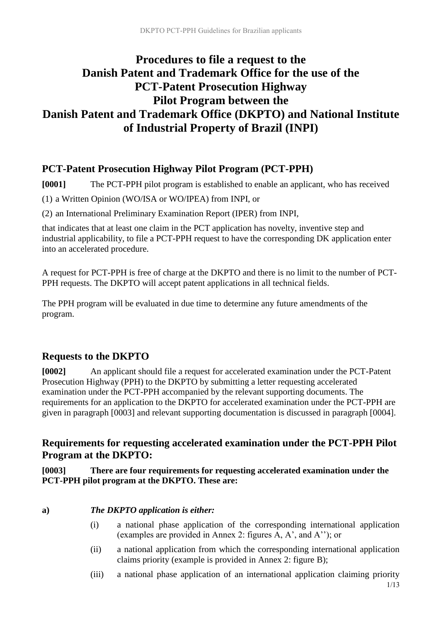# **Procedures to file a request to the Danish Patent and Trademark Office for the use of the PCT-Patent Prosecution Highway Pilot Program between the Danish Patent and Trademark Office (DKPTO) and National Institute of Industrial Property of Brazil (INPI)**

## **PCT-Patent Prosecution Highway Pilot Program (PCT-PPH)**

**[0001]** The PCT-PPH pilot program is established to enable an applicant, who has received

(1) a Written Opinion (WO/ISA or WO/IPEA) from INPI, or

(2) an International Preliminary Examination Report (IPER) from INPI,

that indicates that at least one claim in the PCT application has novelty, inventive step and industrial applicability, to file a PCT-PPH request to have the corresponding DK application enter into an accelerated procedure.

A request for PCT-PPH is free of charge at the DKPTO and there is no limit to the number of PCT-PPH requests. The DKPTO will accept patent applications in all technical fields.

The PPH program will be evaluated in due time to determine any future amendments of the program.

## **Requests to the DKPTO**

**[0002]** An applicant should file a request for accelerated examination under the PCT-Patent Prosecution Highway (PPH) to the DKPTO by submitting a letter requesting accelerated examination under the PCT-PPH accompanied by the relevant supporting documents. The requirements for an application to the DKPTO for accelerated examination under the PCT-PPH are given in paragraph [0003] and relevant supporting documentation is discussed in paragraph [0004].

**Requirements for requesting accelerated examination under the PCT-PPH Pilot Program at the DKPTO:**

**[0003] There are four requirements for requesting accelerated examination under the PCT-PPH pilot program at the DKPTO. These are:**

## **a)** *The DKPTO application is either:*

- (i) a national phase application of the corresponding international application (examples are provided in Annex 2: figures A, A', and A''); or
- (ii) a national application from which the corresponding international application claims priority (example is provided in Annex 2: figure B);
- 1/13 (iii) a national phase application of an international application claiming priority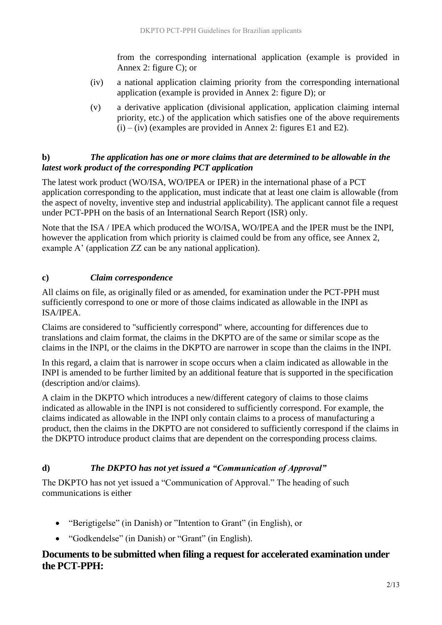from the corresponding international application (example is provided in Annex 2: figure C); or

- (iv) a national application claiming priority from the corresponding international application (example is provided in Annex 2: figure D); or
- (v) a derivative application (divisional application, application claiming internal priority, etc.) of the application which satisfies one of the above requirements  $(i) - (iv)$  (examples are provided in Annex 2: figures E1 and E2).

### **b)** *The application has one or more claims that are determined to be allowable in the latest work product of the corresponding PCT application*

The latest work product (WO/ISA, WO/IPEA or IPER) in the international phase of a PCT application corresponding to the application, must indicate that at least one claim is allowable (from the aspect of novelty, inventive step and industrial applicability). The applicant cannot file a request under PCT-PPH on the basis of an International Search Report (ISR) only.

Note that the ISA / IPEA which produced the WO/ISA, WO/IPEA and the IPER must be the INPI, however the application from which priority is claimed could be from any office, see Annex 2, example A' (application ZZ can be any national application).

## **c)** *Claim correspondence*

All claims on file, as originally filed or as amended, for examination under the PCT-PPH must sufficiently correspond to one or more of those claims indicated as allowable in the INPI as ISA/IPEA.

Claims are considered to "sufficiently correspond" where, accounting for differences due to translations and claim format, the claims in the DKPTO are of the same or similar scope as the claims in the INPI, or the claims in the DKPTO are narrower in scope than the claims in the INPI.

In this regard, a claim that is narrower in scope occurs when a claim indicated as allowable in the INPI is amended to be further limited by an additional feature that is supported in the specification (description and/or claims).

A claim in the DKPTO which introduces a new/different category of claims to those claims indicated as allowable in the INPI is not considered to sufficiently correspond. For example, the claims indicated as allowable in the INPI only contain claims to a process of manufacturing a product, then the claims in the DKPTO are not considered to sufficiently correspond if the claims in the DKPTO introduce product claims that are dependent on the corresponding process claims.

## **d)** *The DKPTO has not yet issued a "Communication of Approval"*

The DKPTO has not yet issued a "Communication of Approval." The heading of such communications is either

- "Berigtigelse" (in Danish) or "Intention to Grant" (in English), or
- "Godkendelse" (in Danish) or "Grant" (in English).

## **Documents to be submitted when filing a request for accelerated examination under the PCT-PPH:**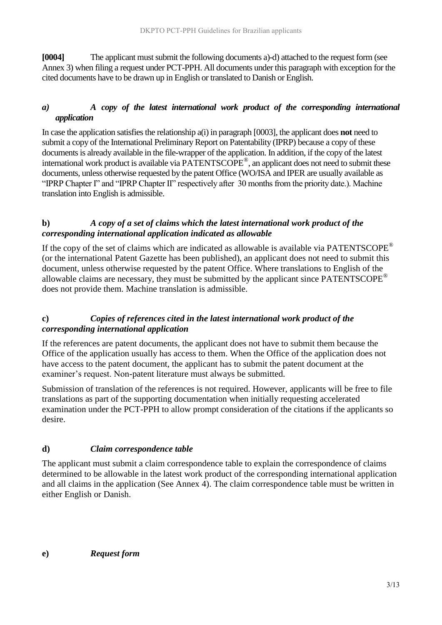**[0004]** The applicant must submit the following documents a)-d) attached to the request form (see Annex 3) when filing a request under PCT-PPH. All documents under this paragraph with exception for the cited documents have to be drawn up in English or translated to Danish or English.

## *a) A copy of the latest international work product of the corresponding international application*

In case the application satisfies the relationship a(i) in paragraph [0003], the applicant does **not** need to submit a copy of the International Preliminary Report on Patentability (IPRP) because a copy of these documents is already available in the file-wrapper of the application. In addition, if the copy of the latest international work product is available via PATENTSCOPE® , an applicant does not need to submit these documents, unless otherwise requested by the patent Office (WO/ISA and IPER are usually available as "IPRP Chapter I" and "IPRP Chapter II" respectively after 30 months from the priority date.). Machine translation into English is admissible.

#### **b)** *A copy of a set of claims which the latest international work product of the corresponding international application indicated as allowable*

If the copy of the set of claims which are indicated as allowable is available via  $PATENTSCOPE^{\circledcirc}$ (or the international Patent Gazette has been published), an applicant does not need to submit this document, unless otherwise requested by the patent Office. Where translations to English of the allowable claims are necessary, they must be submitted by the applicant since PATENTSCOPE® does not provide them. Machine translation is admissible.

### **c)** *Copies of references cited in the latest international work product of the corresponding international application*

If the references are patent documents, the applicant does not have to submit them because the Office of the application usually has access to them. When the Office of the application does not have access to the patent document, the applicant has to submit the patent document at the examiner's request. Non-patent literature must always be submitted.

Submission of translation of the references is not required. However, applicants will be free to file translations as part of the supporting documentation when initially requesting accelerated examination under the PCT-PPH to allow prompt consideration of the citations if the applicants so desire.

## **d)** *Claim correspondence table*

The applicant must submit a claim correspondence table to explain the correspondence of claims determined to be allowable in the latest work product of the corresponding international application and all claims in the application (See Annex 4). The claim correspondence table must be written in either English or Danish.

**e)** *Request form*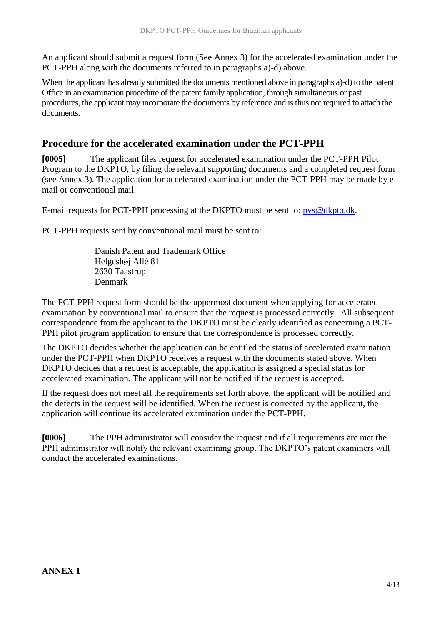An applicant should submit a request form (See Annex 3) for the accelerated examination under the PCT-PPH along with the documents referred to in paragraphs a)-d) above.

When the applicant has already submitted the documents mentioned above in paragraphs a)-d) to the patent Office in an examination procedure of the patent family application, through simultaneous or past procedures, the applicant may incorporate the documents by reference and is thus not required to attach the documents.

## **Procedure for the accelerated examination under the PCT-PPH**

**[0005]** The applicant files request for accelerated examination under the PCT-PPH Pilot Program to the DKPTO, by filing the relevant supporting documents and a completed request form (see Annex 3). The application for accelerated examination under the PCT-PPH may be made by email or conventional mail.

E-mail requests for PCT-PPH processing at the DKPTO must be sent to: [pvs@dkpto.dk.](mailto:pvs@dkpto.dk)

PCT-PPH requests sent by conventional mail must be sent to:

Danish Patent and Trademark Office Helgeshøj Allé 81 2630 Taastrup Denmark

The PCT-PPH request form should be the uppermost document when applying for accelerated examination by conventional mail to ensure that the request is processed correctly. All subsequent correspondence from the applicant to the DKPTO must be clearly identified as concerning a PCT-PPH pilot program application to ensure that the correspondence is processed correctly.

The DKPTO decides whether the application can be entitled the status of accelerated examination under the PCT-PPH when DKPTO receives a request with the documents stated above. When DKPTO decides that a request is acceptable, the application is assigned a special status for accelerated examination. The applicant will not be notified if the request is accepted.

If the request does not meet all the requirements set forth above, the applicant will be notified and the defects in the request will be identified. When the request is corrected by the applicant, the application will continue its accelerated examination under the PCT-PPH.

**[0006]** The PPH administrator will consider the request and if all requirements are met the PPH administrator will notify the relevant examining group. The DKPTO's patent examiners will conduct the accelerated examinations.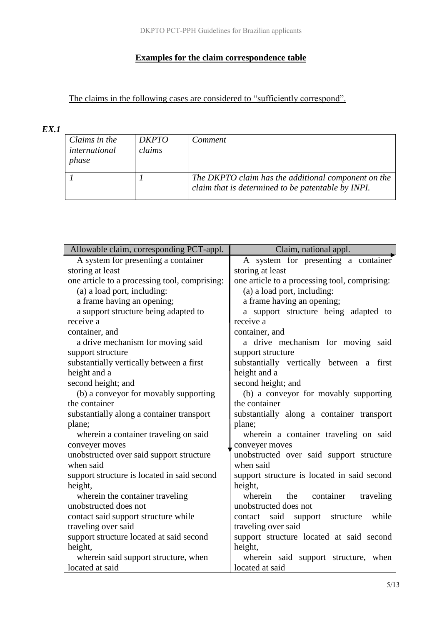## **Examples for the claim correspondence table**

The claims in the following cases are considered to "sufficiently correspond".

## *EX.1*

| Claims in the<br>international<br>phase | <i>DKPTO</i><br>claims | Comment                                                                                                   |
|-----------------------------------------|------------------------|-----------------------------------------------------------------------------------------------------------|
|                                         |                        | The DKPTO claim has the additional component on the<br>claim that is determined to be patentable by INPI. |

| Allowable claim, corresponding PCT-appl.      | Claim, national appl.                         |  |
|-----------------------------------------------|-----------------------------------------------|--|
| A system for presenting a container           | A system for presenting a container           |  |
| storing at least                              | storing at least                              |  |
| one article to a processing tool, comprising: | one article to a processing tool, comprising: |  |
| (a) a load port, including:                   | (a) a load port, including:                   |  |
| a frame having an opening;                    | a frame having an opening;                    |  |
| a support structure being adapted to          | a support structure being adapted to          |  |
| receive a                                     | receive a                                     |  |
| container, and                                | container, and                                |  |
| a drive mechanism for moving said             | a drive mechanism for moving said             |  |
| support structure                             | support structure                             |  |
| substantially vertically between a first      | substantially vertically between a first      |  |
| height and a                                  | height and a                                  |  |
| second height; and                            | second height; and                            |  |
| (b) a conveyor for movably supporting         | (b) a conveyor for movably supporting         |  |
| the container                                 | the container                                 |  |
| substantially along a container transport     | substantially along a container transport     |  |
| plane;                                        | plane;                                        |  |
| wherein a container traveling on said         | wherein a container traveling on said         |  |
| conveyer moves                                | conveyer moves                                |  |
| unobstructed over said support structure      | unobstructed over said support structure      |  |
| when said                                     | when said                                     |  |
| support structure is located in said second   | support structure is located in said second   |  |
| height,                                       | height,                                       |  |
| wherein the container traveling               | wherein<br>the container traveling            |  |
| unobstructed does not                         | unobstructed does not                         |  |
| contact said support structure while          | contact said support structure<br>while       |  |
| traveling over said                           | traveling over said                           |  |
| support structure located at said second      | support structure located at said second      |  |
| height,                                       | height,                                       |  |
| wherein said support structure, when          | wherein said support structure, when          |  |
| located at said                               | located at said                               |  |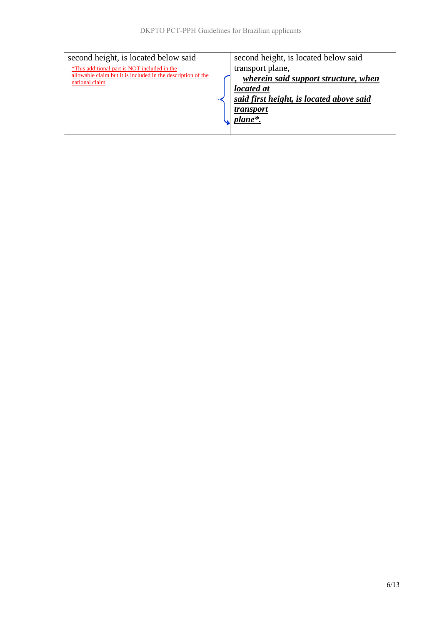| second height, is located below said                                           | second height, is located below said     |
|--------------------------------------------------------------------------------|------------------------------------------|
| *This additional part is NOT included in the                                   | transport plane,                         |
| allowable claim but it is included in the description of the<br>national claim | wherein said support structure, when     |
|                                                                                | located at                               |
|                                                                                | said first height, is located above said |
|                                                                                | <i>transport</i>                         |
|                                                                                | plane*.                                  |
|                                                                                |                                          |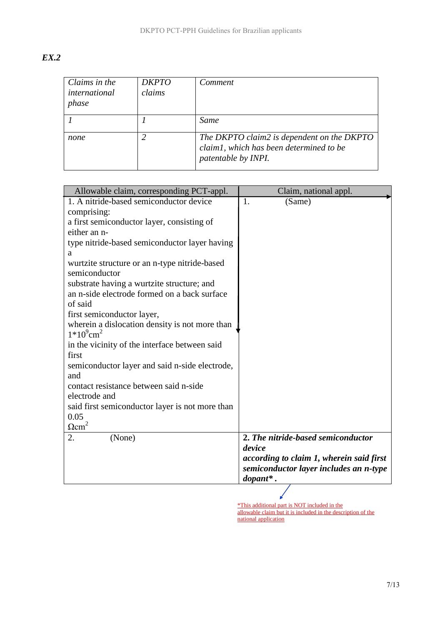| v<br>۰. |
|---------|
|---------|

| Claims in the<br>international<br>phase | <b>DKPTO</b><br>claims | Comment                                                                                                      |
|-----------------------------------------|------------------------|--------------------------------------------------------------------------------------------------------------|
|                                         |                        | Same                                                                                                         |
| none                                    |                        | The DKPTO claim2 is dependent on the DKPTO<br>claim1, which has been determined to be<br>patentable by INPI. |

| Allowable claim, corresponding PCT-appl.                                   | Claim, national appl.                        |
|----------------------------------------------------------------------------|----------------------------------------------|
| 1. A nitride-based semiconductor device                                    | 1.<br>(Same)                                 |
| comprising:                                                                |                                              |
| a first semiconductor layer, consisting of                                 |                                              |
| either an n-                                                               |                                              |
| type nitride-based semiconductor layer having                              |                                              |
| a                                                                          |                                              |
| wurtzite structure or an n-type nitride-based                              |                                              |
| semiconductor                                                              |                                              |
| substrate having a wurtzite structure; and                                 |                                              |
| an n-side electrode formed on a back surface                               |                                              |
| of said                                                                    |                                              |
| first semiconductor layer,                                                 |                                              |
| wherein a dislocation density is not more than<br>$1*10^9$ cm <sup>2</sup> |                                              |
| in the vicinity of the interface between said                              |                                              |
| first                                                                      |                                              |
| semiconductor layer and said n-side electrode,<br>and                      |                                              |
| contact resistance between said n-side                                     |                                              |
| electrode and                                                              |                                              |
| said first semiconductor layer is not more than                            |                                              |
| 0.05                                                                       |                                              |
| $\Omega$ cm <sup>2</sup>                                                   |                                              |
| (None)<br>2.                                                               | 2. The nitride-based semiconductor<br>device |
|                                                                            | according to claim 1, wherein said first     |
|                                                                            | semiconductor layer includes an n-type       |
|                                                                            | $\boldsymbol{d}$ opant*.                     |
|                                                                            |                                              |

\*This additional part is NOT included in the allowable claim but it is included in the description of the national application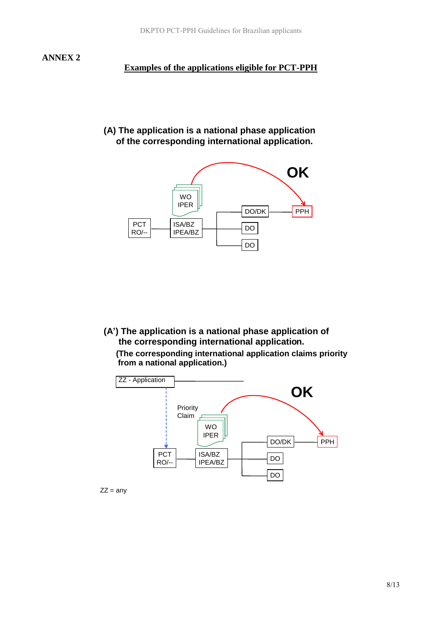#### **Examples of the applications eligible for PCT-PPH**

#### **(A) The application is a national phase application of the corresponding international application.**



**(A') The application is a national phase application of the corresponding international application. (The corresponding international application claims priority from a national application.)**



 $ZZ = any$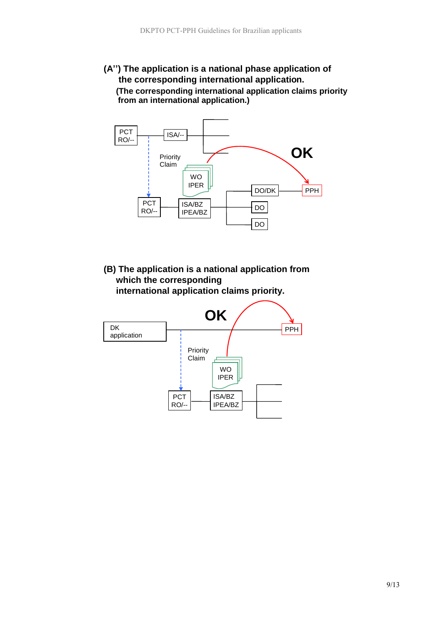### **(A'') The application is a national phase application of the corresponding international application. (The corresponding international application claims priority from an international application.)**



**(B) The application is a national application from which the corresponding**



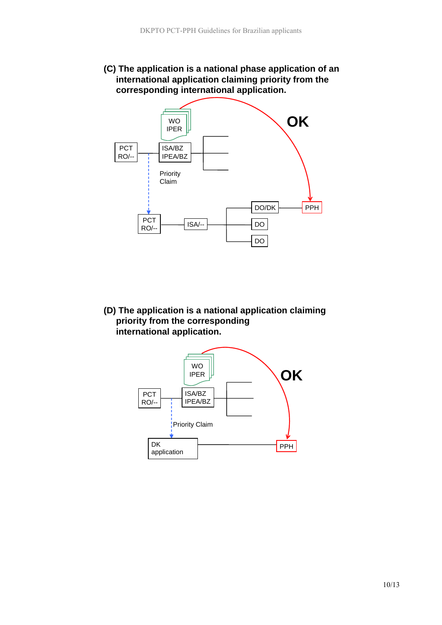**(C) The application is a national phase application of an international application claiming priority from the corresponding international application.**



**(D) The application is a national application claiming priority from the corresponding international application.** 

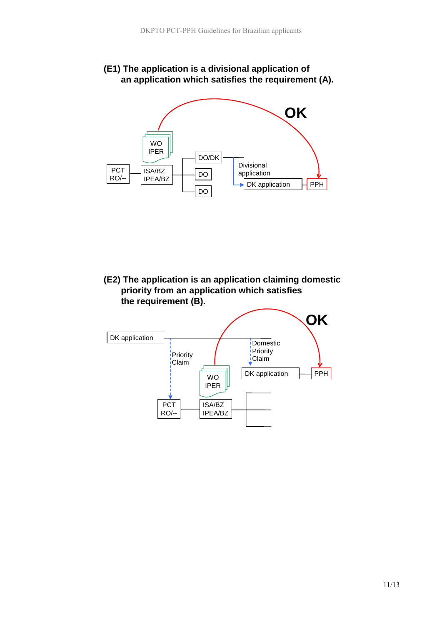



**(E2) The application is an application claiming domestic priority from an application which satisfies the requirement (B).** 

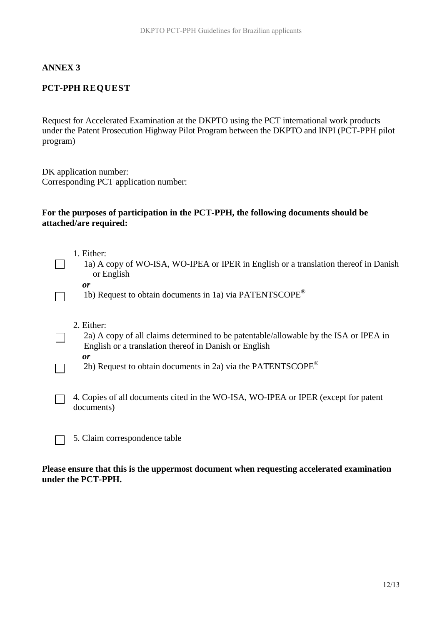#### **ANNEX 3**

#### **PCT-PPH REQUEST**

Request for Accelerated Examination at the DKPTO using the PCT international work products under the Patent Prosecution Highway Pilot Program between the DKPTO and INPI (PCT-PPH pilot program)

DK application number: Corresponding PCT application number:

#### **For the purposes of participation in the PCT***-***PPH, the following documents should be attached/are required:**

- 1. Either:
- 1a) A copy of WO-ISA, WO-IPEA or IPER in English or a translation thereof in Danish or English

 $\mathbf{I}$ 

 $\Box$ 

 $\mathcal{L}^{\text{max}}$ 

1b) Request to obtain documents in 1a) via PATENTSCOPE®

- 2. Either:
- 2a) A copy of all claims determined to be patentable/allowable by the ISA or IPEA in English or a translation thereof in Danish or English *or*
	- 2b) Request to obtain documents in 2a) via the PATENTSCOPE<sup>®</sup>
- 4. Copies of all documents cited in the WO-ISA, WO-IPEA or IPER (except for patent  $\Box$ documents)
	- 5. Claim correspondence table

#### **Please ensure that this is the uppermost document when requesting accelerated examination under the PCT-PPH.**